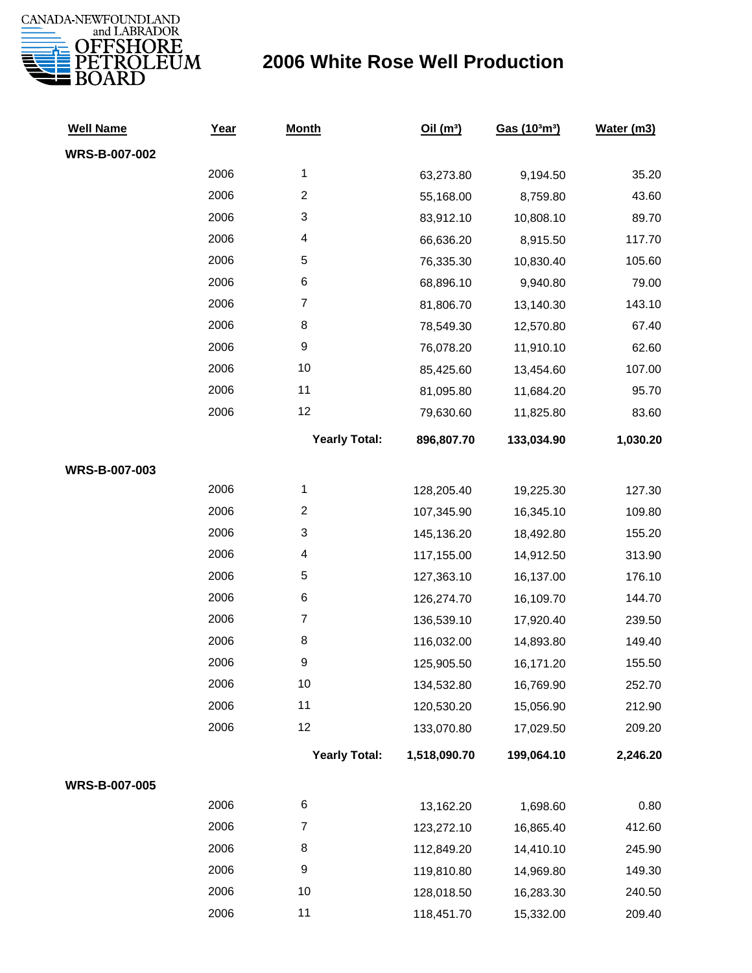

## **2006 White Rose Well Production**

| <b>Well Name</b>     | Year | <b>Month</b>            | Oil(m <sup>3</sup> ) | Gas (103m3) | Water (m3) |
|----------------------|------|-------------------------|----------------------|-------------|------------|
| <b>WRS-B-007-002</b> |      |                         |                      |             |            |
|                      | 2006 | $\mathbf{1}$            | 63,273.80            | 9,194.50    | 35.20      |
|                      | 2006 | $\overline{c}$          | 55,168.00            | 8,759.80    | 43.60      |
|                      | 2006 | 3                       | 83,912.10            | 10,808.10   | 89.70      |
|                      | 2006 | 4                       | 66,636.20            | 8,915.50    | 117.70     |
|                      | 2006 | 5                       | 76,335.30            | 10,830.40   | 105.60     |
|                      | 2006 | 6                       | 68,896.10            | 9,940.80    | 79.00      |
|                      | 2006 | $\overline{7}$          | 81,806.70            | 13,140.30   | 143.10     |
|                      | 2006 | 8                       | 78,549.30            | 12,570.80   | 67.40      |
|                      | 2006 | 9                       | 76,078.20            | 11,910.10   | 62.60      |
|                      | 2006 | 10                      | 85,425.60            | 13,454.60   | 107.00     |
|                      | 2006 | 11                      | 81,095.80            | 11,684.20   | 95.70      |
|                      | 2006 | 12                      | 79,630.60            | 11,825.80   | 83.60      |
|                      |      | <b>Yearly Total:</b>    | 896,807.70           | 133,034.90  | 1,030.20   |
| WRS-B-007-003        |      |                         |                      |             |            |
|                      | 2006 | $\mathbf{1}$            | 128,205.40           | 19,225.30   | 127.30     |
|                      | 2006 | $\overline{\mathbf{c}}$ | 107,345.90           | 16,345.10   | 109.80     |
|                      | 2006 | 3                       | 145,136.20           | 18,492.80   | 155.20     |
|                      | 2006 | 4                       | 117,155.00           | 14,912.50   | 313.90     |
|                      | 2006 | 5                       | 127,363.10           | 16,137.00   | 176.10     |
|                      | 2006 | 6                       | 126,274.70           | 16,109.70   | 144.70     |
|                      | 2006 | $\boldsymbol{7}$        | 136,539.10           | 17,920.40   | 239.50     |
|                      | 2006 | 8                       | 116,032.00           | 14,893.80   | 149.40     |
|                      | 2006 | 9                       | 125,905.50           | 16,171.20   | 155.50     |
|                      | 2006 | 10                      | 134,532.80           | 16,769.90   | 252.70     |
|                      | 2006 | 11                      | 120,530.20           | 15,056.90   | 212.90     |
|                      | 2006 | 12                      | 133,070.80           | 17,029.50   | 209.20     |
|                      |      | <b>Yearly Total:</b>    | 1,518,090.70         | 199,064.10  | 2,246.20   |
| <b>WRS-B-007-005</b> |      |                         |                      |             |            |
|                      | 2006 | 6                       | 13,162.20            | 1,698.60    | 0.80       |
|                      | 2006 | $\boldsymbol{7}$        | 123,272.10           | 16,865.40   | 412.60     |
|                      | 2006 | 8                       | 112,849.20           | 14,410.10   | 245.90     |
|                      | 2006 | 9                       | 119,810.80           | 14,969.80   | 149.30     |
|                      | 2006 | 10                      | 128,018.50           | 16,283.30   | 240.50     |
|                      | 2006 | 11                      | 118,451.70           | 15,332.00   | 209.40     |